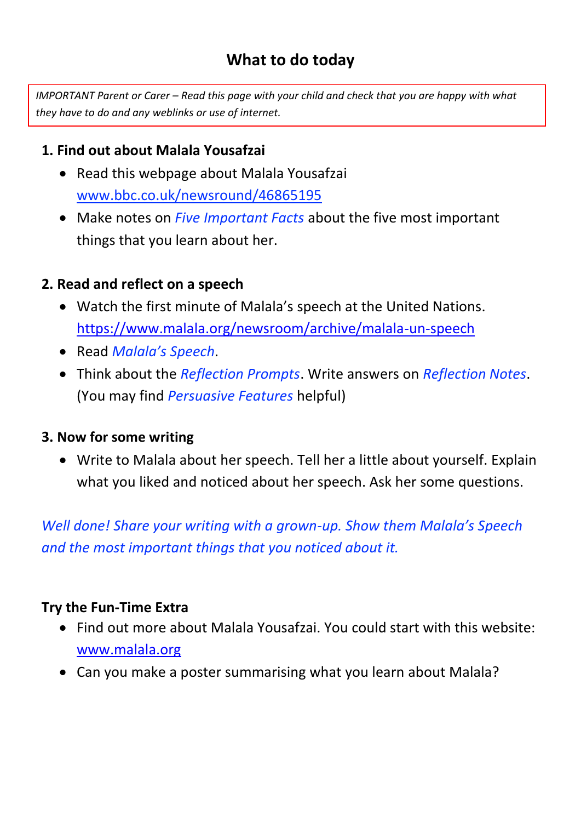## **What to do today**

*IMPORTANT Parent or Carer – Read this page with your child and check that you are happy with what they have to do and any weblinks or use of internet.* 

### **1. Find out about Malala Yousafzai**

- Read this webpage about Malala Yousafzai www[.bbc.co.uk/newsround/46865195](https://www.bbc.co.uk/newsround/46865195)
- Make notes on *Five Important Facts* about the five most important things that you learn about her.

### **2. Read and reflect on a speech**

- Watch the first minute of Malala's speech at the United Nations. <https://www.malala.org/newsroom/archive/malala-un-speech>
- Read *Malala's Speech*.
- Think about the *Reflection Prompts*. Write answers on *Reflection Notes*. (You may find *Persuasive Features* helpful)

### **3. Now for some writing**

 Write to Malala about her speech. Tell her a little about yourself. Explain what you liked and noticed about her speech. Ask her some questions.

*Well done! Share your writing with a grown-up. Show them Malala's Speech and the most important things that you noticed about it.*

### **Try the Fun-Time Extra**

- Find out more about Malala Yousafzai. You could start with this website: [www.malala.org](http://www.malala.org/)
- Can you make a poster summarising what you learn about Malala?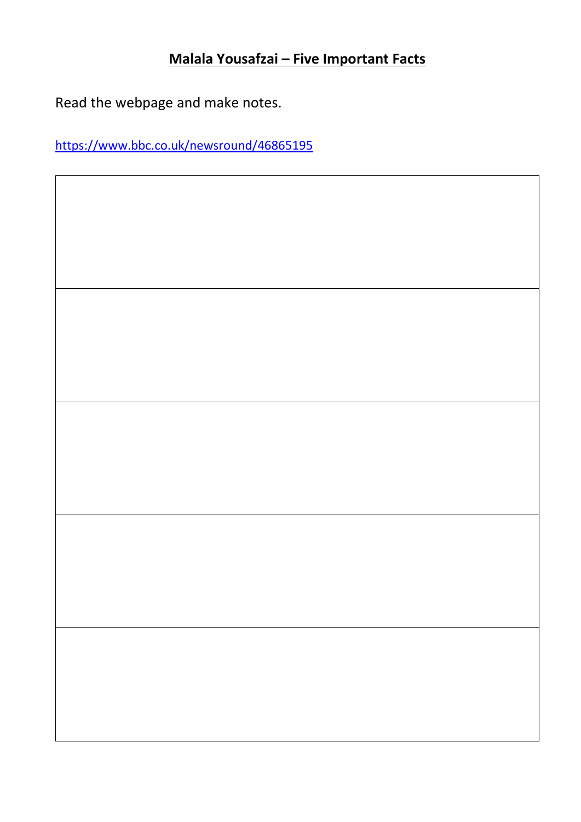## **Malala Yousafzai – Five Important Facts**

Read the webpage and make notes.

<https://www.bbc.co.uk/newsround/46865195>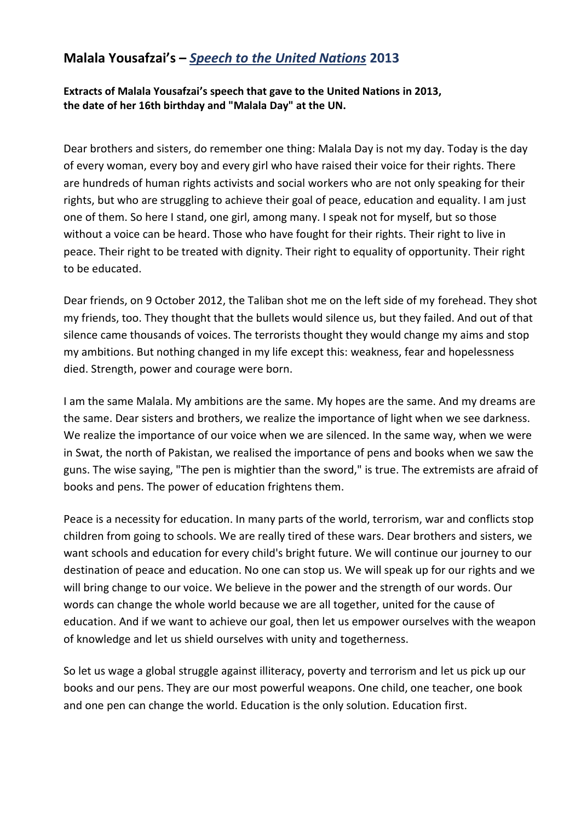#### **Malala Yousafzai's –** *Speech to the United Nations* **2013**

**Extracts of Malala Yousafzai's speech that gave to the United Nations in 2013, the date of her 16th birthday and "Malala Day" at the UN.**

Dear brothers and sisters, do remember one thing: Malala Day is not my day. Today is the day of every woman, every boy and every girl who have raised their voice for their rights. There are hundreds of human rights activists and social workers who are not only speaking for their rights, but who are struggling to achieve their goal of peace, education and equality. I am just one of them. So here I stand, one girl, among many. I speak not for myself, but so those without a voice can be heard. Those who have fought for their rights. Their right to live in peace. Their right to be treated with dignity. Their right to equality of opportunity. Their right to be educated.

Dear friends, on 9 October 2012, the Taliban shot me on the left side of my forehead. They shot my friends, too. They thought that the bullets would silence us, but they failed. And out of that silence came thousands of voices. The terrorists thought they would change my aims and stop my ambitions. But nothing changed in my life except this: weakness, fear and hopelessness died. Strength, power and courage were born.

I am the same Malala. My ambitions are the same. My hopes are the same. And my dreams are the same. Dear sisters and brothers, we realize the importance of light when we see darkness. We realize the importance of our voice when we are silenced. In the same way, when we were in Swat, the north of Pakistan, we realised the importance of pens and books when we saw the guns. The wise saying, "The pen is mightier than the sword," is true. The extremists are afraid of books and pens. The power of education frightens them.

Peace is a necessity for education. In many parts of the world, terrorism, war and conflicts stop children from going to schools. We are really tired of these wars. Dear brothers and sisters, we want schools and education for every child's bright future. We will continue our journey to our destination of peace and education. No one can stop us. We will speak up for our rights and we will bring change to our voice. We believe in the power and the strength of our words. Our words can change the whole world because we are all together, united for the cause of education. And if we want to achieve our goal, then let us empower ourselves with the weapon of knowledge and let us shield ourselves with unity and togetherness.

So let us wage a global struggle against illiteracy, poverty and terrorism and let us pick up our books and our pens. They are our most powerful weapons. One child, one teacher, one book and one pen can change the world. Education is the only solution. Education first.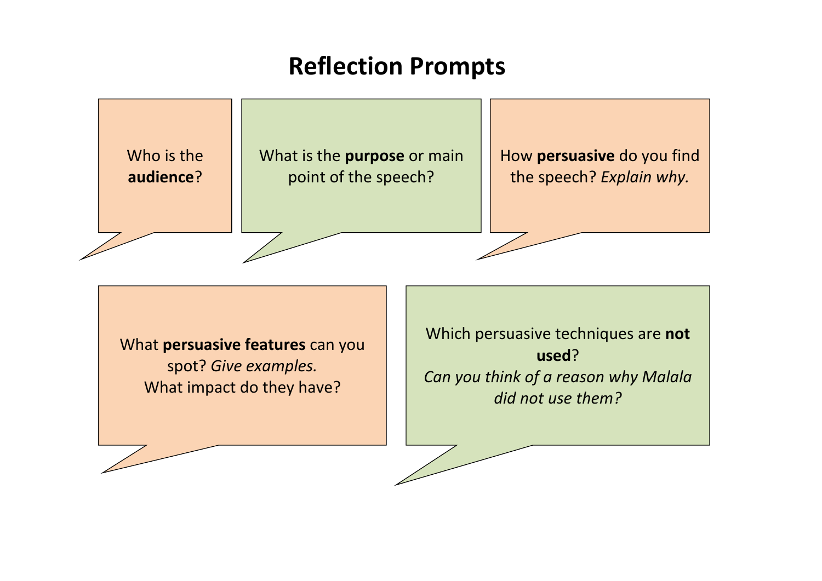# **Reflection Prompts**



What **persuasive features** can you spot? *Give examples.* What impact do they have?

Which persuasive techniques are **not used**? *Can you think of a reason why Malala did not use them?*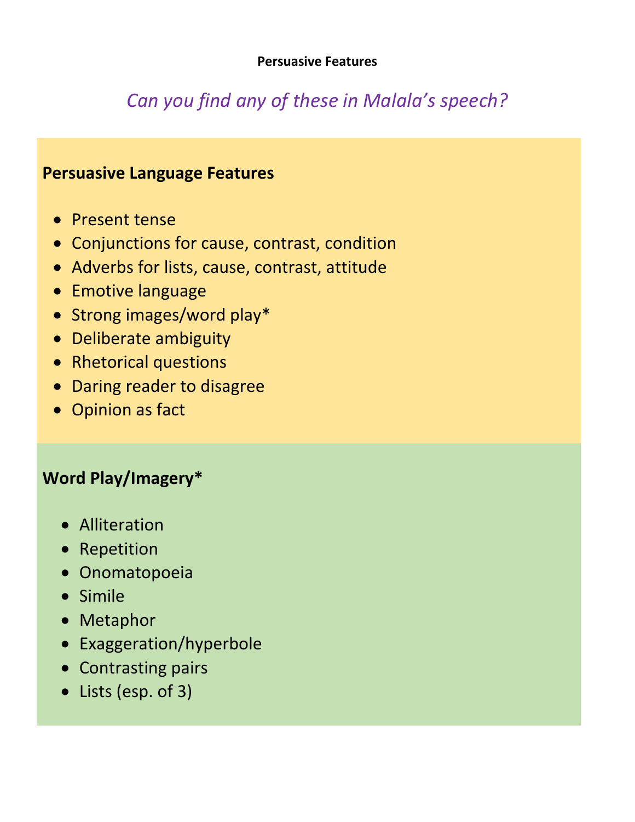## *Can you find any of these in Malala's speech?*

### **Persuasive Language Features**

- Present tense
- Conjunctions for cause, contrast, condition
- Adverbs for lists, cause, contrast, attitude
- **•** Emotive language
- Strong images/word play\*
- Deliberate ambiguity
- Rhetorical questions
- Daring reader to disagree
- Opinion as fact

## **Word Play/Imagery\***

- **•** Alliteration
- Repetition
- Onomatopoeia
- Simile
- Metaphor
- Exaggeration/hyperbole
- Contrasting pairs
- Lists (esp. of 3)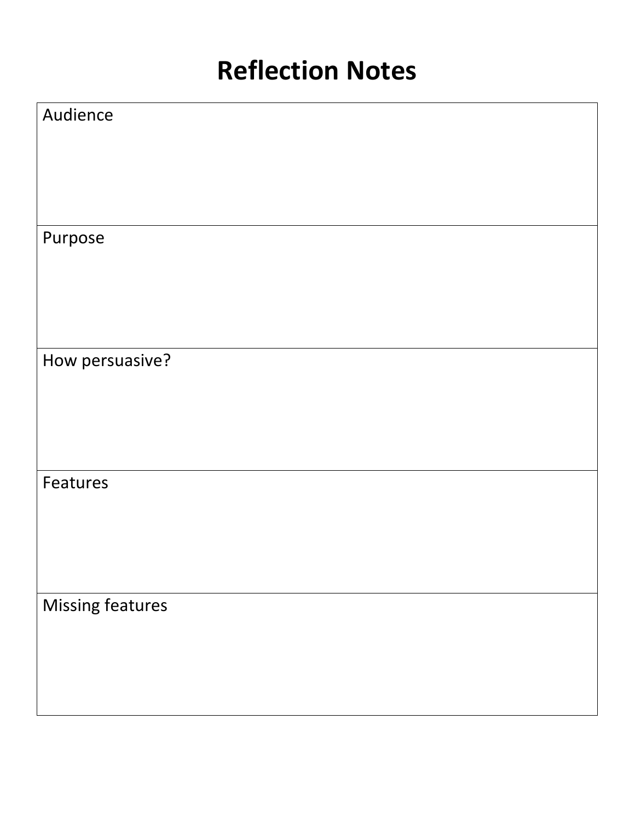## **Reflection Notes**

| Audience                |  |
|-------------------------|--|
|                         |  |
|                         |  |
|                         |  |
| Purpose                 |  |
|                         |  |
|                         |  |
|                         |  |
| How persuasive?         |  |
|                         |  |
|                         |  |
|                         |  |
| Features                |  |
|                         |  |
|                         |  |
|                         |  |
| <b>Missing features</b> |  |
|                         |  |
|                         |  |
|                         |  |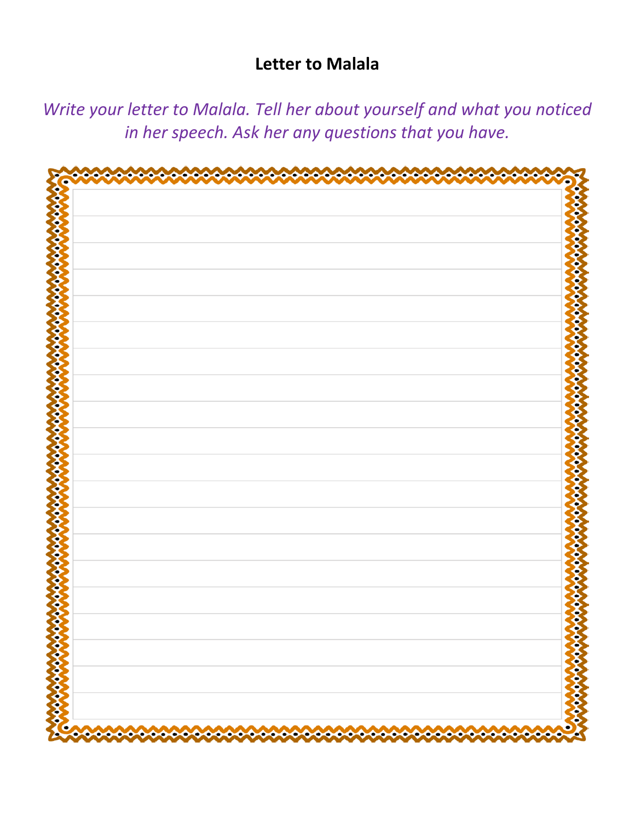### **Letter to Malala**

*Write your letter to Malala. Tell her about yourself and what you noticed in her speech. Ask her any questions that you have.*

| c | 4000000 |
|---|---------|
|   |         |
|   |         |
|   |         |
|   |         |
|   |         |
|   |         |
|   |         |
|   |         |
|   |         |
|   |         |
|   |         |
|   |         |
|   |         |
|   |         |
|   |         |
|   |         |
|   |         |
|   |         |
|   |         |
|   |         |
|   |         |
|   |         |
|   |         |
|   |         |
|   |         |
|   |         |
|   |         |
|   |         |
|   |         |
|   |         |
|   |         |
|   |         |
|   |         |
|   |         |
|   |         |
|   |         |
|   |         |
|   |         |
|   |         |
|   |         |
|   |         |
|   |         |
|   |         |
|   |         |
|   |         |
|   |         |